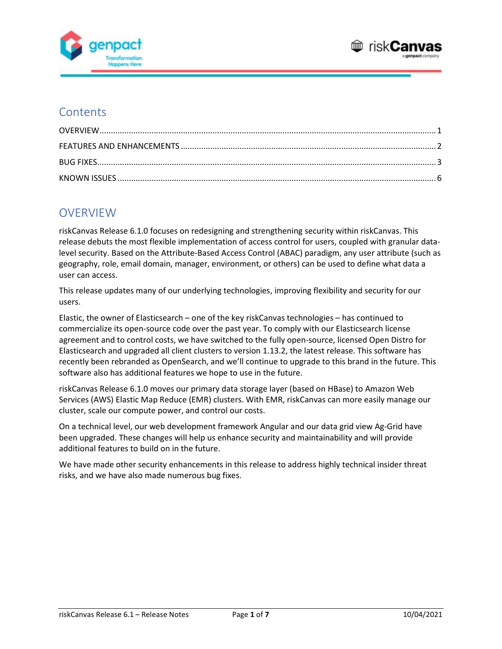



### **Contents**

# **OVERVIEW**

riskCanvas Release 6.1.0 focuses on redesigning and strengthening security within riskCanvas. This release debuts the most flexible implementation of access control for users, coupled with granular datalevel security. Based on the Attribute-Based Access Control (ABAC) paradigm, any user attribute (such as geography, role, email domain, manager, environment, or others) can be used to define what data a user can access.

This release updates many of our underlying technologies, improving flexibility and security for our users.

Elastic, the owner of Elasticsearch – one of the key riskCanvas technologies – has continued to commercialize its open-source code over the past year. To comply with our Elasticsearch license agreement and to control costs, we have switched to the fully open-source, licensed Open Distro for Elasticsearch and upgraded all client clusters to version 1.13.2, the latest release. This software has recently been rebranded as OpenSearch, and we'll continue to upgrade to this brand in the future. This software also has additional features we hope to use in the future.

riskCanvas Release 6.1.0 moves our primary data storage layer (based on HBase) to Amazon Web Services (AWS) Elastic Map Reduce (EMR) clusters. With EMR, riskCanvas can more easily manage our cluster, scale our compute power, and control our costs.

On a technical level, our web development framework Angular and our data grid view Ag-Grid have been upgraded. These changes will help us enhance security and maintainability and will provide additional features to build on in the future.

We have made other security enhancements in this release to address highly technical insider threat risks, and we have also made numerous bug fixes.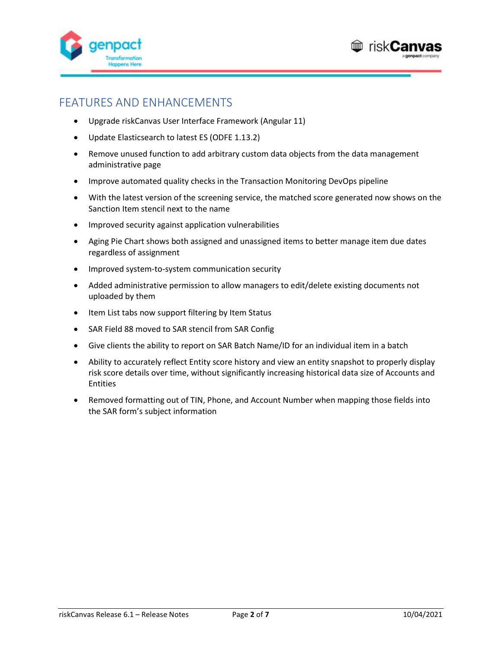



## FEATURES AND ENHANCEMENTS

- Upgrade riskCanvas User Interface Framework (Angular 11)
- Update Elasticsearch to latest ES (ODFE 1.13.2)
- Remove unused function to add arbitrary custom data objects from the data management administrative page
- Improve automated quality checks in the Transaction Monitoring DevOps pipeline
- With the latest version of the screening service, the matched score generated now shows on the Sanction Item stencil next to the name
- Improved security against application vulnerabilities
- Aging Pie Chart shows both assigned and unassigned items to better manage item due dates regardless of assignment
- Improved system-to-system communication security
- Added administrative permission to allow managers to edit/delete existing documents not uploaded by them
- Item List tabs now support filtering by Item Status
- SAR Field 88 moved to SAR stencil from SAR Config
- Give clients the ability to report on SAR Batch Name/ID for an individual item in a batch
- Ability to accurately reflect Entity score history and view an entity snapshot to properly display risk score details over time, without significantly increasing historical data size of Accounts and **Entities**
- Removed formatting out of TIN, Phone, and Account Number when mapping those fields into the SAR form's subject information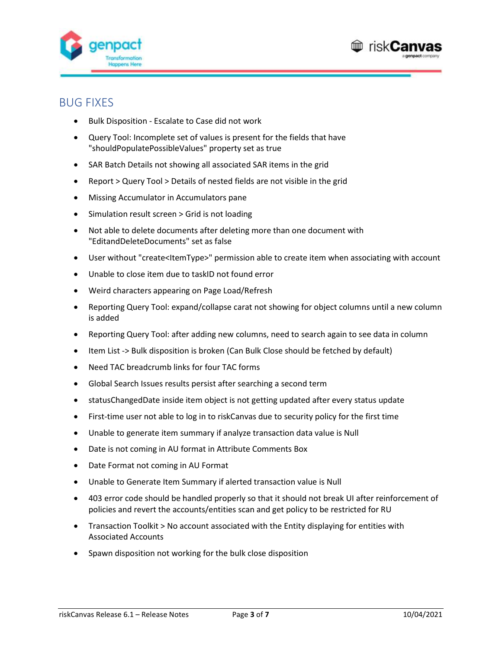



#### BUG FIXES

- Bulk Disposition Escalate to Case did not work
- Query Tool: Incomplete set of values is present for the fields that have "shouldPopulatePossibleValues" property set as true
- SAR Batch Details not showing all associated SAR items in the grid
- Report > Query Tool > Details of nested fields are not visible in the grid
- Missing Accumulator in Accumulators pane
- Simulation result screen > Grid is not loading
- Not able to delete documents after deleting more than one document with "EditandDeleteDocuments" set as false
- User without "create<ItemType>" permission able to create item when associating with account
- Unable to close item due to taskID not found error
- Weird characters appearing on Page Load/Refresh
- Reporting Query Tool: expand/collapse carat not showing for object columns until a new column is added
- Reporting Query Tool: after adding new columns, need to search again to see data in column
- Item List -> Bulk disposition is broken (Can Bulk Close should be fetched by default)
- Need TAC breadcrumb links for four TAC forms
- Global Search Issues results persist after searching a second term
- statusChangedDate inside item object is not getting updated after every status update
- First-time user not able to log in to riskCanvas due to security policy for the first time
- Unable to generate item summary if analyze transaction data value is Null
- Date is not coming in AU format in Attribute Comments Box
- Date Format not coming in AU Format
- Unable to Generate Item Summary if alerted transaction value is Null
- 403 error code should be handled properly so that it should not break UI after reinforcement of policies and revert the accounts/entities scan and get policy to be restricted for RU
- Transaction Toolkit > No account associated with the Entity displaying for entities with Associated Accounts
- Spawn disposition not working for the bulk close disposition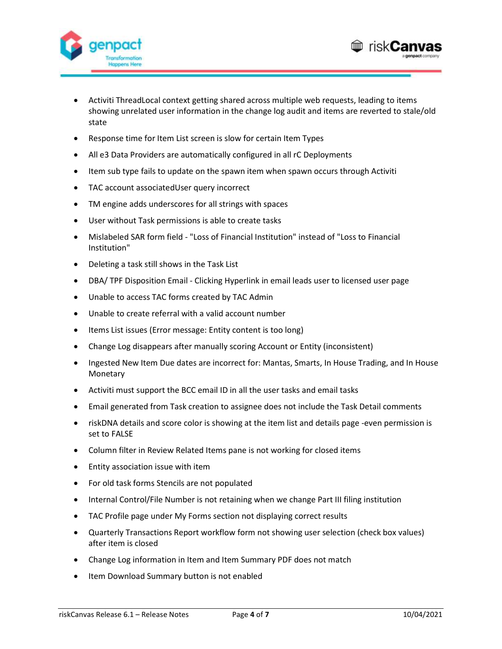



- Activiti ThreadLocal context getting shared across multiple web requests, leading to items showing unrelated user information in the change log audit and items are reverted to stale/old state
- Response time for Item List screen is slow for certain Item Types
- All e3 Data Providers are automatically configured in all rC Deployments
- Item sub type fails to update on the spawn item when spawn occurs through Activiti
- TAC account associatedUser query incorrect
- TM engine adds underscores for all strings with spaces
- User without Task permissions is able to create tasks
- Mislabeled SAR form field "Loss of Financial Institution" instead of "Loss to Financial Institution"
- Deleting a task still shows in the Task List
- DBA/ TPF Disposition Email Clicking Hyperlink in email leads user to licensed user page
- Unable to access TAC forms created by TAC Admin
- Unable to create referral with a valid account number
- Items List issues (Error message: Entity content is too long)
- Change Log disappears after manually scoring Account or Entity (inconsistent)
- Ingested New Item Due dates are incorrect for: Mantas, Smarts, In House Trading, and In House Monetary
- Activiti must support the BCC email ID in all the user tasks and email tasks
- Email generated from Task creation to assignee does not include the Task Detail comments
- riskDNA details and score color is showing at the item list and details page -even permission is set to FALSE
- Column filter in Review Related Items pane is not working for closed items
- Entity association issue with item
- For old task forms Stencils are not populated
- Internal Control/File Number is not retaining when we change Part III filing institution
- TAC Profile page under My Forms section not displaying correct results
- Quarterly Transactions Report workflow form not showing user selection (check box values) after item is closed
- Change Log information in Item and Item Summary PDF does not match
- Item Download Summary button is not enabled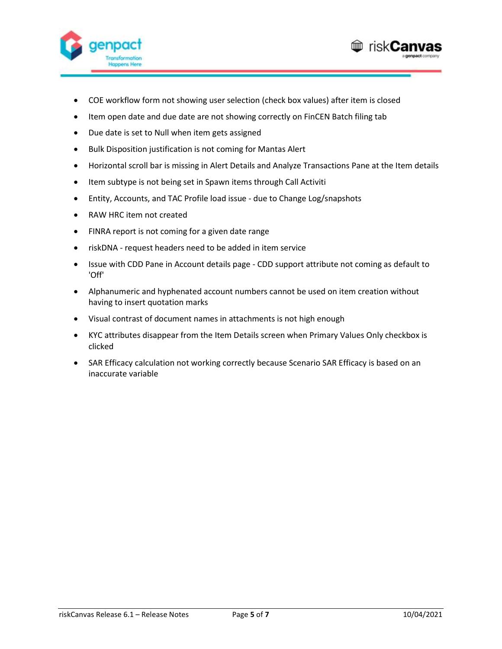



- COE workflow form not showing user selection (check box values) after item is closed
- Item open date and due date are not showing correctly on FinCEN Batch filing tab
- Due date is set to Null when item gets assigned
- Bulk Disposition justification is not coming for Mantas Alert
- Horizontal scroll bar is missing in Alert Details and Analyze Transactions Pane at the Item details
- Item subtype is not being set in Spawn items through Call Activiti
- Entity, Accounts, and TAC Profile load issue due to Change Log/snapshots
- RAW HRC item not created
- FINRA report is not coming for a given date range
- riskDNA request headers need to be added in item service
- Issue with CDD Pane in Account details page CDD support attribute not coming as default to 'Off'
- Alphanumeric and hyphenated account numbers cannot be used on item creation without having to insert quotation marks
- Visual contrast of document names in attachments is not high enough
- KYC attributes disappear from the Item Details screen when Primary Values Only checkbox is clicked
- SAR Efficacy calculation not working correctly because Scenario SAR Efficacy is based on an inaccurate variable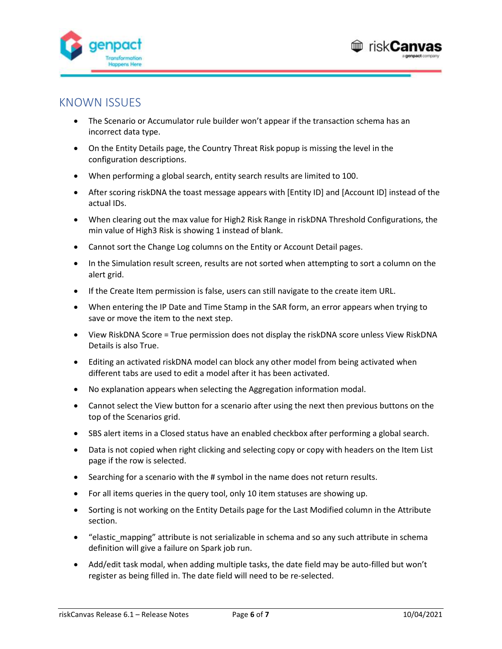



#### KNOWN ISSUES

- The Scenario or Accumulator rule builder won't appear if the transaction schema has an incorrect data type.
- On the Entity Details page, the Country Threat Risk popup is missing the level in the configuration descriptions.
- When performing a global search, entity search results are limited to 100.
- After scoring riskDNA the toast message appears with [Entity ID] and [Account ID] instead of the actual IDs.
- When clearing out the max value for High2 Risk Range in riskDNA Threshold Configurations, the min value of High3 Risk is showing 1 instead of blank.
- Cannot sort the Change Log columns on the Entity or Account Detail pages.
- In the Simulation result screen, results are not sorted when attempting to sort a column on the alert grid.
- If the Create Item permission is false, users can still navigate to the create item URL.
- When entering the IP Date and Time Stamp in the SAR form, an error appears when trying to save or move the item to the next step.
- View RiskDNA Score = True permission does not display the riskDNA score unless View RiskDNA Details is also True.
- Editing an activated riskDNA model can block any other model from being activated when different tabs are used to edit a model after it has been activated.
- No explanation appears when selecting the Aggregation information modal.
- Cannot select the View button for a scenario after using the next then previous buttons on the top of the Scenarios grid.
- SBS alert items in a Closed status have an enabled checkbox after performing a global search.
- Data is not copied when right clicking and selecting copy or copy with headers on the Item List page if the row is selected.
- Searching for a scenario with the # symbol in the name does not return results.
- For all items queries in the query tool, only 10 item statuses are showing up.
- Sorting is not working on the Entity Details page for the Last Modified column in the Attribute section.
- "elastic mapping" attribute is not serializable in schema and so any such attribute in schema definition will give a failure on Spark job run.
- Add/edit task modal, when adding multiple tasks, the date field may be auto-filled but won't register as being filled in. The date field will need to be re-selected.